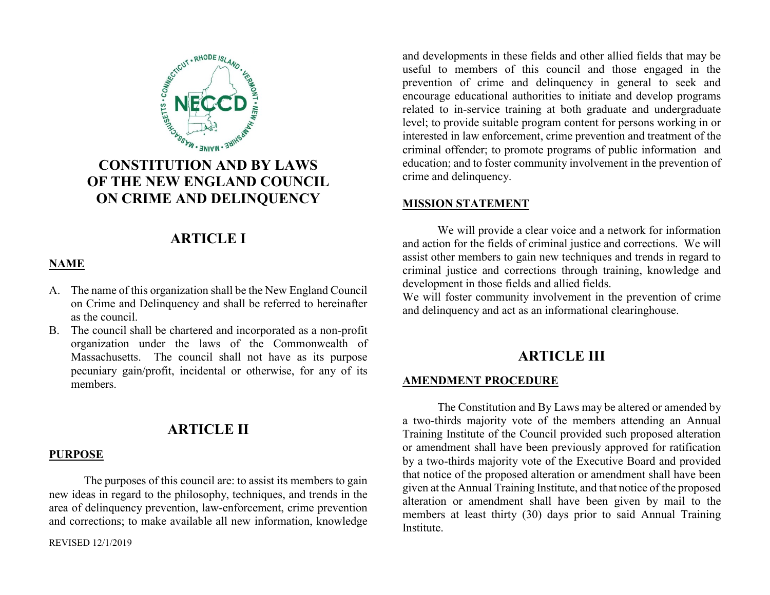

# **CONSTITUTION AND BY LAWS OF THE NEW ENGLAND COUNCIL ON CRIME AND DELINQUENCY**

# **ARTICLE I**

### **NAME**

- A. The name of this organization shall be the New England Council on Crime and Delinquency and shall be referred to hereinafter as the council.
- B. The council shall be chartered and incorporated as a non-profit organization under the laws of the Commonwealth of Massachusetts. The council shall not have as its purpose pecuniary gain/profit, incidental or otherwise, for any of its members.

### **ARTICLE II**

#### **PURPOSE**

The purposes of this council are: to assist its members to gain new ideas in regard to the philosophy, techniques, and trends in the area of delinquency prevention, law-enforcement, crime prevention and corrections; to make available all new information, knowledge

REVISED 12/1/2019

and developments in these fields and other allied fields that may be useful to members of this council and those engaged in the prevention of crime and delinquency in general to seek and encourage educational authorities to initiate and develop programs related to in-service training at both graduate and undergraduate level; to provide suitable program content for persons working in or interested in law enforcement, crime prevention and treatment of the criminal offender; to promote programs of public information and education; and to foster community involvement in the prevention of crime and delinquency.

#### **MISSION STATEMENT**

We will provide a clear voice and a network for information and action for the fields of criminal justice and corrections. We will assist other members to gain new techniques and trends in regard to criminal justice and corrections through training, knowledge and development in those fields and allied fields.

We will foster community involvement in the prevention of crime and delinquency and act as an informational clearinghouse.

### **ARTICLE III**

#### **AMENDMENT PROCEDURE**

The Constitution and By Laws may be altered or amended by a two-thirds majority vote of the members attending an Annual Training Institute of the Council provided such proposed alteration or amendment shall have been previously approved for ratification by a two-thirds majority vote of the Executive Board and provided that notice of the proposed alteration or amendment shall have been given at the Annual Training Institute, and that notice of the proposed alteration or amendment shall have been given by mail to the members at least thirty (30) days prior to said Annual Training Institute.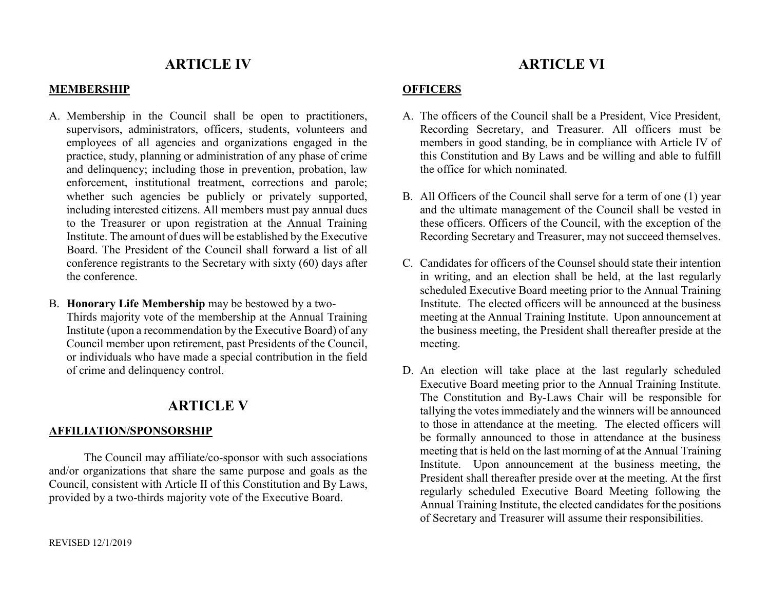### **ARTICLE IV**

#### **MEMBERSHIP**

- A. Membership in the Council shall be open to practitioners, supervisors, administrators, officers, students, volunteers and employees of all agencies and organizations engaged in the practice, study, planning or administration of any phase of crime and delinquency; including those in prevention, probation, law enforcement, institutional treatment, corrections and parole; whether such agencies be publicly or privately supported, including interested citizens. All members must pay annual dues to the Treasurer or upon registration at the Annual Training Institute. The amount of dues will be established by the Executive Board. The President of the Council shall forward a list of all conference registrants to the Secretary with sixty (60) days after the conference.
- B. **Honorary Life Membership** may be bestowed by a two-Thirds majority vote of the membership at the Annual Training Institute (upon a recommendation by the Executive Board) of any Council member upon retirement, past Presidents of the Council, or individuals who have made a special contribution in the field of crime and delinquency control.

### **ARTICLE V**

#### **AFFILIATION/SPONSORSHIP**

The Council may affiliate/co-sponsor with such associations and/or organizations that share the same purpose and goals as the Council, consistent with Article II of this Constitution and By Laws, provided by a two-thirds majority vote of the Executive Board.

### **ARTICLE VI**

#### **OFFICERS**

- A. The officers of the Council shall be a President, Vice President, Recording Secretary, and Treasurer. All officers must be members in good standing, be in compliance with Article IV of this Constitution and By Laws and be willing and able to fulfill the office for which nominated.
- B. All Officers of the Council shall serve for a term of one (1) year and the ultimate management of the Council shall be vested in these officers. Officers of the Council, with the exception of the Recording Secretary and Treasurer, may not succeed themselves.
- C. Candidates for officers of the Counsel should state their intention in writing, and an election shall be held, at the last regularly scheduled Executive Board meeting prior to the Annual Training Institute. The elected officers will be announced at the business meeting at the Annual Training Institute. Upon announcement at the business meeting, the President shall thereafter preside at the meeting.
- D. An election will take place at the last regularly scheduled Executive Board meeting prior to the Annual Training Institute. The Constitution and By-Laws Chair will be responsible for tallying the votes immediately and the winners will be announced to those in attendance at the meeting. The elected officers will be formally announced to those in attendance at the business meeting that is held on the last morning of at the Annual Training Institute. Upon announcement at the business meeting, the President shall thereafter preside over at the meeting. At the first regularly scheduled Executive Board Meeting following the Annual Training Institute, the elected candidates for the positions of Secretary and Treasurer will assume their responsibilities.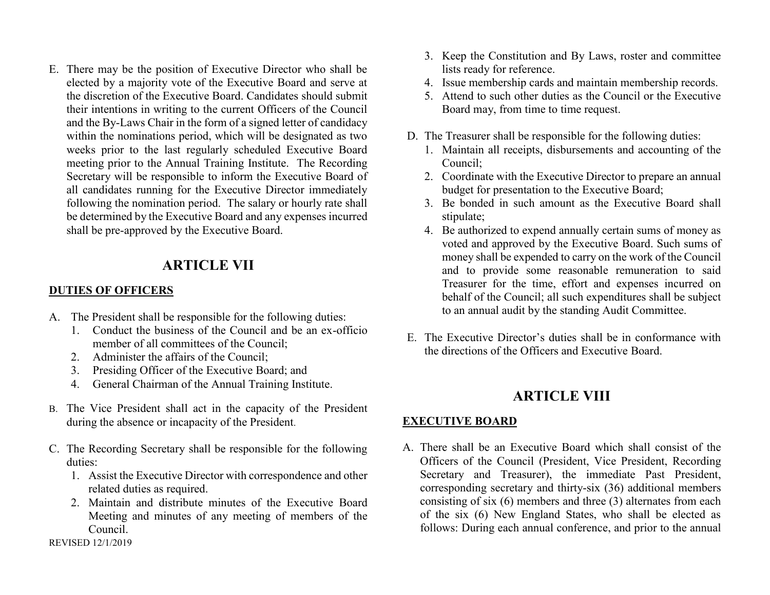E. There may be the position of Executive Director who shall be elected by a majority vote of the Executive Board and serve at the discretion of the Executive Board. Candidates should submit their intentions in writing to the current Officers of the Council and the By-Laws Chair in the form of a signed letter of candidacy within the nominations period, which will be designated as two weeks prior to the last regularly scheduled Executive Board meeting prior to the Annual Training Institute. The Recording Secretary will be responsible to inform the Executive Board of all candidates running for the Executive Director immediately following the nomination period. The salary or hourly rate shall be determined by the Executive Board and any expenses incurred shall be pre-approved by the Executive Board.

## **ARTICLE VII**

#### **DUTIES OF OFFICERS**

- A. The President shall be responsible for the following duties:
	- 1. Conduct the business of the Council and be an ex-officio member of all committees of the Council;
	- 2. Administer the affairs of the Council;
	- 3. Presiding Officer of the Executive Board; and
	- 4. General Chairman of the Annual Training Institute.
- B. The Vice President shall act in the capacity of the President during the absence or incapacity of the President.
- C. The Recording Secretary shall be responsible for the following duties:
	- 1. Assist the Executive Director with correspondence and other related duties as required.
	- 2. Maintain and distribute minutes of the Executive Board Meeting and minutes of any meeting of members of the Council.
- 3. Keep the Constitution and By Laws, roster and committee lists ready for reference.
- 4. Issue membership cards and maintain membership records.
- 5. Attend to such other duties as the Council or the Executive Board may, from time to time request.
- D. The Treasurer shall be responsible for the following duties:
	- 1. Maintain all receipts, disbursements and accounting of the Council;
	- 2. Coordinate with the Executive Director to prepare an annual budget for presentation to the Executive Board;
	- 3. Be bonded in such amount as the Executive Board shall stipulate;
	- 4. Be authorized to expend annually certain sums of money as voted and approved by the Executive Board. Such sums of money shall be expended to carry on the work of the Council and to provide some reasonable remuneration to said Treasurer for the time, effort and expenses incurred on behalf of the Council; all such expenditures shall be subject to an annual audit by the standing Audit Committee.
- E. The Executive Director's duties shall be in conformance with the directions of the Officers and Executive Board.

## **ARTICLE VIII**

### **EXECUTIVE BOARD**

A. There shall be an Executive Board which shall consist of the Officers of the Council (President, Vice President, Recording Secretary and Treasurer), the immediate Past President, corresponding secretary and thirty-six (36) additional members consisting of six (6) members and three (3) alternates from each of the six (6) New England States, who shall be elected as follows: During each annual conference, and prior to the annual

REVISED 12/1/2019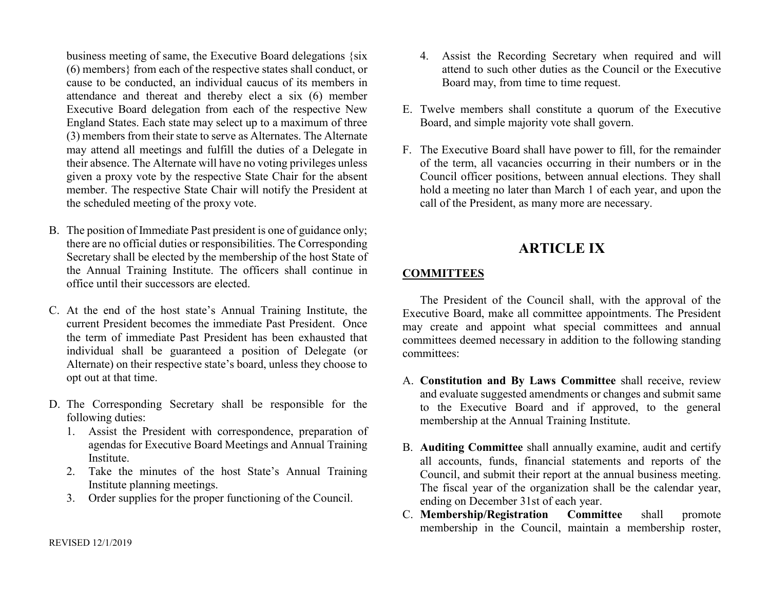business meeting of same, the Executive Board delegations {six (6) members} from each of the respective states shall conduct, or cause to be conducted, an individual caucus of its members in attendance and thereat and thereby elect a six (6) member Executive Board delegation from each of the respective New England States. Each state may select up to a maximum of three (3) members from their state to serve as Alternates. The Alternate may attend all meetings and fulfill the duties of a Delegate in their absence. The Alternate will have no voting privileges unless given a proxy vote by the respective State Chair for the absent member. The respective State Chair will notify the President at the scheduled meeting of the proxy vote.

- B. The position of Immediate Past president is one of guidance only; there are no official duties or responsibilities. The Corresponding Secretary shall be elected by the membership of the host State of the Annual Training Institute. The officers shall continue in office until their successors are elected.
- C. At the end of the host state's Annual Training Institute, the current President becomes the immediate Past President. Once the term of immediate Past President has been exhausted that individual shall be guaranteed a position of Delegate (or Alternate) on their respective state's board, unless they choose to opt out at that time.
- D. The Corresponding Secretary shall be responsible for the following duties:
	- 1. Assist the President with correspondence, preparation of agendas for Executive Board Meetings and Annual Training Institute.
	- 2. Take the minutes of the host State's Annual Training Institute planning meetings.
	- 3. Order supplies for the proper functioning of the Council.
- 4. Assist the Recording Secretary when required and will attend to such other duties as the Council or the Executive Board may, from time to time request.
- E. Twelve members shall constitute a quorum of the Executive Board, and simple majority vote shall govern.
- F. The Executive Board shall have power to fill, for the remainder of the term, all vacancies occurring in their numbers or in the Council officer positions, between annual elections. They shall hold a meeting no later than March 1 of each year, and upon the call of the President, as many more are necessary.

## **ARTICLE IX**

### **COMMITTEES**

The President of the Council shall, with the approval of the Executive Board, make all committee appointments. The President may create and appoint what special committees and annual committees deemed necessary in addition to the following standing committees:

- A. **Constitution and By Laws Committee** shall receive, review and evaluate suggested amendments or changes and submit same to the Executive Board and if approved, to the general membership at the Annual Training Institute.
- B. **Auditing Committee** shall annually examine, audit and certify all accounts, funds, financial statements and reports of the Council, and submit their report at the annual business meeting. The fiscal year of the organization shall be the calendar year, ending on December 31st of each year.
- C. **Membership/Registration Committee** shall promote membership in the Council, maintain a membership roster,